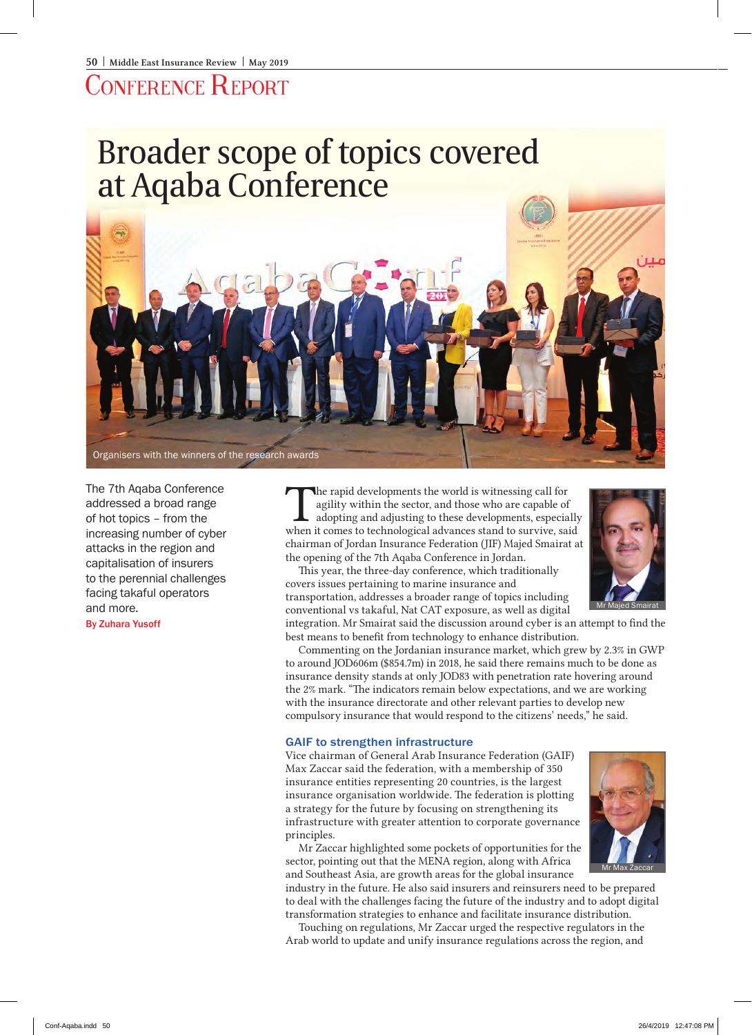## ONFERENCE REPORT

# Broader scope of topics covered at Aqaba Conference



The 7th Aqaba Conference addressed a broad range of hot topics – from the increasing number of cyber attacks in the region and capitalisation of insurers to the perennial challenges facing takaful operators and more.

By Zuhara Yusoff

The rapid developments the world is witnessing call for agility within the sector, and those who are capable of adopting and adjusting to these developments, especially when it comes to technological advances stand to surv agility within the sector, and those who are capable of when it comes to technological advances stand to survive, said chairman of Jordan Insurance Federation (JIF) Majed Smairat at the opening of the 7th Aqaba Conference in Jordan.

This year, the three-day conference, which traditionally covers issues pertaining to marine insurance and transportation, addresses a broader range of topics including conventional vs takaful, Nat CAT exposure, as well as digital

integration. Mr Smairat said the discussion around cyber is an attempt to find the best means to benefit from technology to enhance distribution.

Commenting on the Jordanian insurance market, which grew by 2.3% in GWP to around JOD606m (\$854.7m) in 2018, he said there remains much to be done as insurance density stands at only JOD83 with penetration rate hovering around the 2% mark. "The indicators remain below expectations, and we are working with the insurance directorate and other relevant parties to develop new compulsory insurance that would respond to the citizens' needs," he said.

#### GAIF to strengthen infrastructure

Vice chairman of General Arab Insurance Federation (GAIF) Max Zaccar said the federation, with a membership of 350 insurance entities representing 20 countries, is the largest insurance organisation worldwide. The federation is plotting a strategy for the future by focusing on strengthening its infrastructure with greater attention to corporate governance principles.

Mr Zaccar highlighted some pockets of opportunities for the sector, pointing out that the MENA region, along with Africa and Southeast Asia, are growth areas for the global insurance

industry in the future. He also said insurers and reinsurers need to be prepared to deal with the challenges facing the future of the industry and to adopt digital transformation strategies to enhance and facilitate insurance distribution.

Touching on regulations, Mr Zaccar urged the respective regulators in the Arab world to update and unify insurance regulations across the region, and